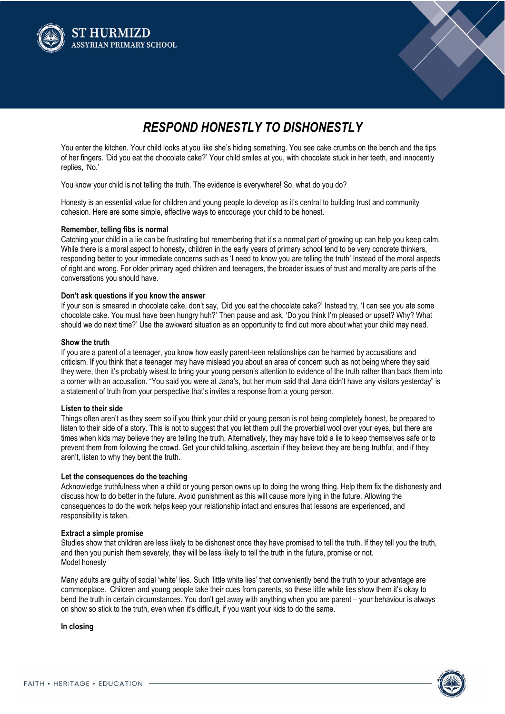



# *RESPOND HONESTLY TO DISHONESTLY*

You enter the kitchen. Your child looks at you like she's hiding something. You see cake crumbs on the bench and the tips of her fingers. 'Did you eat the chocolate cake?' Your child smiles at you, with chocolate stuck in her teeth, and innocently replies, 'No.'

You know your child is not telling the truth. The evidence is everywhere! So, what do you do?

Honesty is an essential value for children and young people to develop as it's central to building trust and community cohesion. Here are some simple, effective ways to encourage your child to be honest.

### **Remember, telling fibs is normal**

Catching your child in a lie can be frustrating but remembering that it's a normal part of growing up can help you keep calm. While there is a moral aspect to honesty, children in the early years of primary school tend to be very concrete thinkers, responding better to your immediate concerns such as 'I need to know you are telling the truth' Instead of the moral aspects of right and wrong. For older primary aged children and teenagers, the broader issues of trust and morality are parts of the conversations you should have.

### **Don't ask questions if you know the answer**

If your son is smeared in chocolate cake, don't say, 'Did you eat the chocolate cake?' Instead try, 'I can see you ate some chocolate cake. You must have been hungry huh?' Then pause and ask, 'Do you think I'm pleased or upset? Why? What should we do next time?' Use the awkward situation as an opportunity to find out more about what your child may need.

### **Show the truth**

If you are a parent of a teenager, you know how easily parent-teen relationships can be harmed by accusations and criticism. If you think that a teenager may have mislead you about an area of concern such as not being where they said they were, then it's probably wisest to bring your young person's attention to evidence of the truth rather than back them into a corner with an accusation. "You said you were at Jana's, but her mum said that Jana didn't have any visitors yesterday" is a statement of truth from your perspective that's invites a response from a young person.

## **Listen to their side**

Things often aren't as they seem so if you think your child or young person is not being completely honest, be prepared to listen to their side of a story. This is not to suggest that you let them pull the proverbial wool over your eyes, but there are times when kids may believe they are telling the truth. Alternatively, they may have told a lie to keep themselves safe or to prevent them from following the crowd. Get your child talking, ascertain if they believe they are being truthful, and if they aren't, listen to why they bent the truth.

#### **Let the consequences do the teaching**

Acknowledge truthfulness when a child or young person owns up to doing the wrong thing. Help them fix the dishonesty and discuss how to do better in the future. Avoid punishment as this will cause more lying in the future. Allowing the consequences to do the work helps keep your relationship intact and ensures that lessons are experienced, and responsibility is taken.

### **Extract a simple promise**

Studies show that children are less likely to be dishonest once they have promised to tell the truth. If they tell you the truth, and then you punish them severely, they will be less likely to tell the truth in the future, promise or not. Model honesty

Many adults are guilty of social 'white' lies. Such 'little white lies' that conveniently bend the truth to your advantage are commonplace. Children and young people take their cues from parents, so these little white lies show them it's okay to bend the truth in certain circumstances. You don't get away with anything when you are parent – your behaviour is always on show so stick to the truth, even when it's difficult, if you want your kids to do the same.

**In closing**